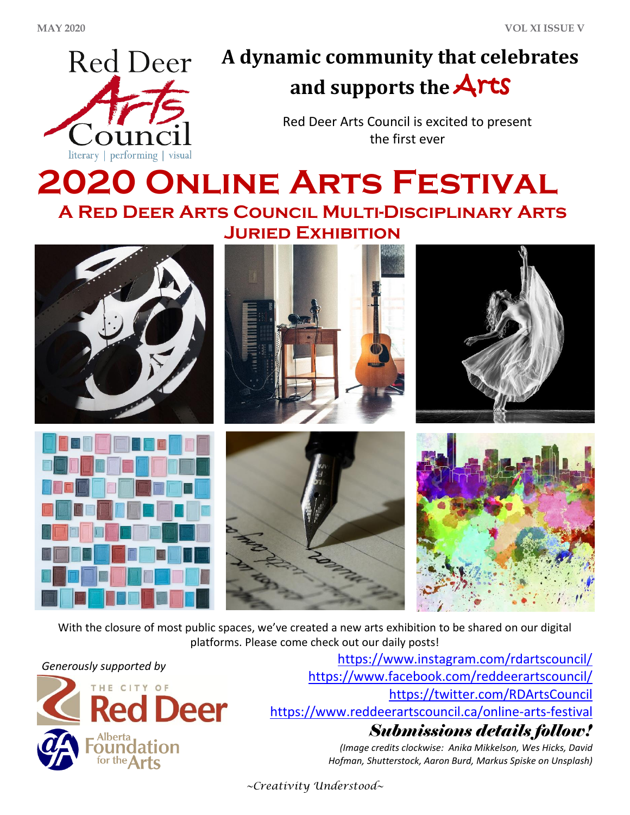

## **A dynamic community that celebrates and supports the** Arts

Red Deer Arts Council is excited to present the first ever

# **2020 ONLINE ARTS FESTIVAL A Red Deer Arts Council Multi-Disciplinary Arts Juried Exhibition**



With the closure of most public spaces, we've created a new arts exhibition to be shared on our digital platforms. Please come check out our daily posts!

*Generously supported by*



<https://www.instagram.com/rdartscouncil/> <https://www.facebook.com/reddeerartscouncil/> <https://twitter.com/RDArtsCouncil> <https://www.reddeerartscouncil.ca/online-arts-festival> *Submissions details follow!*

*(Image credits clockwise: Anika Mikkelson, Wes Hicks, David Hofman, Shutterstock, Aaron Burd, Markus Spiske on Unsplash)*

*~Creativity Understood~*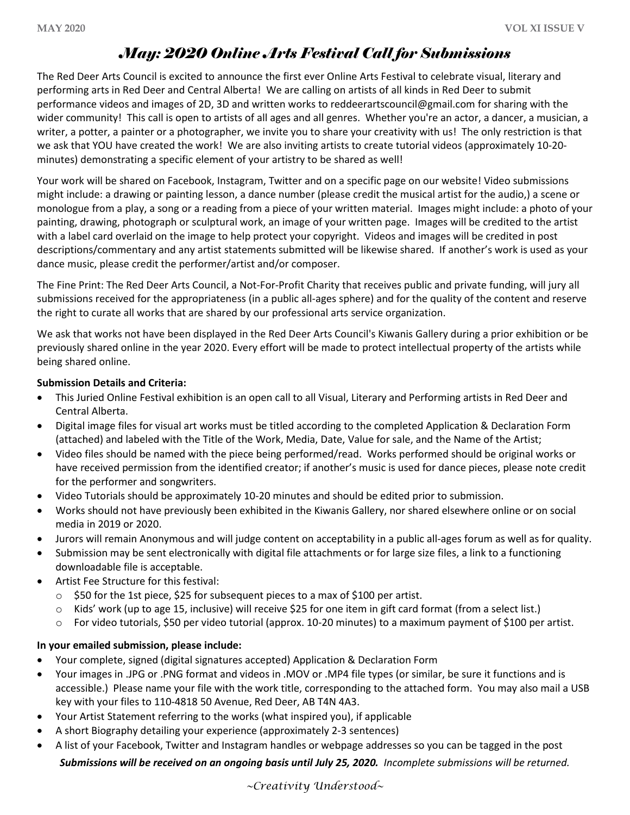### *May: 2020 Online Arts Festival Call for Submissions*

The Red Deer Arts Council is excited to announce the first ever Online Arts Festival to celebrate visual, literary and performing arts in Red Deer and Central Alberta! We are calling on artists of all kinds in Red Deer to submit performance videos and images of 2D, 3D and written works to reddeerartscouncil@gmail.com for sharing with the wider community! This call is open to artists of all ages and all genres. Whether you're an actor, a dancer, a musician, a writer, a potter, a painter or a photographer, we invite you to share your creativity with us! The only restriction is that we ask that YOU have created the work! We are also inviting artists to create tutorial videos (approximately 10-20 minutes) demonstrating a specific element of your artistry to be shared as well!

Your work will be shared on Facebook, Instagram, Twitter and on a specific page on our website! Video submissions might include: a drawing or painting lesson, a dance number (please credit the musical artist for the audio,) a scene or monologue from a play, a song or a reading from a piece of your written material. Images might include: a photo of your painting, drawing, photograph or sculptural work, an image of your written page. Images will be credited to the artist with a label card overlaid on the image to help protect your copyright. Videos and images will be credited in post descriptions/commentary and any artist statements submitted will be likewise shared. If another's work is used as your dance music, please credit the performer/artist and/or composer.

The Fine Print: The Red Deer Arts Council, a Not-For-Profit Charity that receives public and private funding, will jury all submissions received for the appropriateness (in a public all-ages sphere) and for the quality of the content and reserve the right to curate all works that are shared by our professional arts service organization.

We ask that works not have been displayed in the Red Deer Arts Council's Kiwanis Gallery during a prior exhibition or be previously shared online in the year 2020. Every effort will be made to protect intellectual property of the artists while being shared online.

#### **Submission Details and Criteria:**

- This Juried Online Festival exhibition is an open call to all Visual, Literary and Performing artists in Red Deer and Central Alberta.
- Digital image files for visual art works must be titled according to the completed Application & Declaration Form (attached) and labeled with the Title of the Work, Media, Date, Value for sale, and the Name of the Artist;
- Video files should be named with the piece being performed/read. Works performed should be original works or have received permission from the identified creator; if another's music is used for dance pieces, please note credit for the performer and songwriters.
- Video Tutorials should be approximately 10-20 minutes and should be edited prior to submission.
- Works should not have previously been exhibited in the Kiwanis Gallery, nor shared elsewhere online or on social media in 2019 or 2020.
- Jurors will remain Anonymous and will judge content on acceptability in a public all-ages forum as well as for quality.
- Submission may be sent electronically with digital file attachments or for large size files, a link to a functioning downloadable file is acceptable.
- Artist Fee Structure for this festival:
	- $\circ$  \$50 for the 1st piece, \$25 for subsequent pieces to a max of \$100 per artist.
	- o Kids' work (up to age 15, inclusive) will receive \$25 for one item in gift card format (from a select list.)
	- o For video tutorials, \$50 per video tutorial (approx. 10-20 minutes) to a maximum payment of \$100 per artist.

#### **In your emailed submission, please include:**

- Your complete, signed (digital signatures accepted) Application & Declaration Form
- Your images in .JPG or .PNG format and videos in .MOV or .MP4 file types (or similar, be sure it functions and is accessible.) Please name your file with the work title, corresponding to the attached form. You may also mail a USB key with your files to 110-4818 50 Avenue, Red Deer, AB T4N 4A3.
- Your Artist Statement referring to the works (what inspired you), if applicable
- A short Biography detailing your experience (approximately 2-3 sentences)
- A list of your Facebook, Twitter and Instagram handles or webpage addresses so you can be tagged in the post

Submissions will be received on an ongoing basis until July 25, 2020. Incomplete submissions will be returned.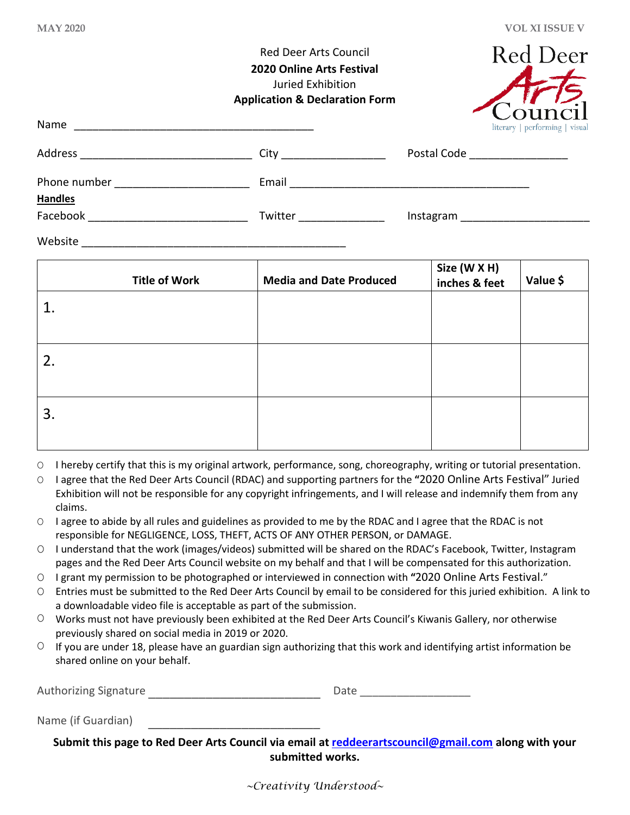**MAY 2020 VOL XI ISSUE V**

|                                           | <b>Red Deer Arts Council</b><br><b>2020 Online Arts Festival</b><br>Juried Exhibition<br><b>Application &amp; Declaration Form</b> | Red Deer<br>literary   performing   visual                                                                                                                                                                                     |
|-------------------------------------------|------------------------------------------------------------------------------------------------------------------------------------|--------------------------------------------------------------------------------------------------------------------------------------------------------------------------------------------------------------------------------|
|                                           |                                                                                                                                    | Postal Code ____________________                                                                                                                                                                                               |
|                                           |                                                                                                                                    |                                                                                                                                                                                                                                |
| <b>Handles</b>                            |                                                                                                                                    |                                                                                                                                                                                                                                |
| Facebook ________________________________ | Twitter __________________                                                                                                         | Instagram Management and the state of the state of the state of the state of the state of the state of the state of the state of the state of the state of the state of the state of the state of the state of the state of th |
|                                           |                                                                                                                                    |                                                                                                                                                                                                                                |
| <b>Title of Work</b>                      | <b>Media and Date Produced</b>                                                                                                     | Size (W X H)<br>Value \$<br>inches & feet                                                                                                                                                                                      |
|                                           |                                                                                                                                    |                                                                                                                                                                                                                                |
|                                           |                                                                                                                                    |                                                                                                                                                                                                                                |

| ັ |  |  |
|---|--|--|
|   |  |  |

- О I hereby certify that this is my original artwork, performance, song, choreography, writing or tutorial presentation.
- О I agree that the Red Deer Arts Council (RDAC) and supporting partners for the **"**2020 Online Arts Festival" Juried Exhibition will not be responsible for any copyright infringements, and I will release and indemnify them from any claims.
- О I agree to abide by all rules and guidelines as provided to me by the RDAC and I agree that the RDAC is not responsible for NEGLIGENCE, LOSS, THEFT, ACTS OF ANY OTHER PERSON, or DAMAGE.
- О I understand that the work (images/videos) submitted will be shared on the RDAC's Facebook, Twitter, Instagram pages and the Red Deer Arts Council website on my behalf and that I will be compensated for this authorization.
- О I grant my permission to be photographed or interviewed in connection with **"**2020 Online Arts Festival."
- О Entries must be submitted to the Red Deer Arts Council by email to be considered for this juried exhibition. A link to a downloadable video file is acceptable as part of the submission.
- О Works must not have previously been exhibited at the Red Deer Arts Council's Kiwanis Gallery, nor otherwise previously shared on social media in 2019 or 2020.
- $\circ$  If you are under 18, please have an guardian sign authorizing that this work and identifying artist information be shared online on your behalf.

| <b>Authorizing Signature</b> |  |
|------------------------------|--|
|                              |  |

Name (if Guardian)

**Submit this page to Red Deer Arts Council via email at [reddeerartscouncil@gmail.com](mailto:reddeerartscouncil@gmail.com) along with your submitted works.**

*~Creativity Understood~*